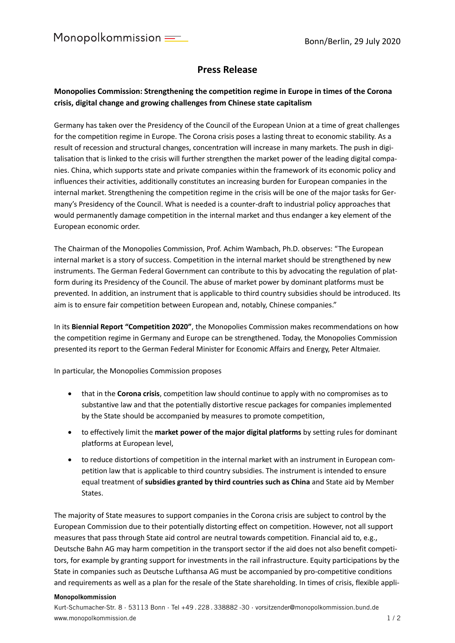## **Press Release**

## **Monopolies Commission: Strengthening the competition regime in Europe in times of the Corona crisis, digital change and growing challenges from Chinese state capitalism**

Germany has taken over the Presidency of the Council of the European Union at a time of great challenges for the competition regime in Europe. The Corona crisis poses a lasting threat to economic stability. As a result of recession and structural changes, concentration will increase in many markets. The push in digitalisation that is linked to the crisis will further strengthen the market power of the leading digital companies. China, which supports state and private companies within the framework of its economic policy and influences their activities, additionally constitutes an increasing burden for European companies in the internal market. Strengthening the competition regime in the crisis will be one of the major tasks for Germany's Presidency of the Council. What is needed is a counter-draft to industrial policy approaches that would permanently damage competition in the internal market and thus endanger a key element of the European economic order.

The Chairman of the Monopolies Commission, Prof. Achim Wambach, Ph.D. observes: "The European internal market is a story of success. Competition in the internal market should be strengthened by new instruments. The German Federal Government can contribute to this by advocating the regulation of platform during its Presidency of the Council. The abuse of market power by dominant platforms must be prevented. In addition, an instrument that is applicable to third country subsidies should be introduced. Its aim is to ensure fair competition between European and, notably, Chinese companies."

In its **Biennial Report "Competition 2020"**, the Monopolies Commission makes recommendations on how the competition regime in Germany and Europe can be strengthened. Today, the Monopolies Commission presented its report to the German Federal Minister for Economic Affairs and Energy, Peter Altmaier.

In particular, the Monopolies Commission proposes

- that in the **Corona crisis**, competition law should continue to apply with no compromises as to substantive law and that the potentially distortive rescue packages for companies implemented by the State should be accompanied by measures to promote competition,
- to effectively limit the **market power of the major digital platforms** by setting rules for dominant platforms at European level,
- to reduce distortions of competition in the internal market with an instrument in European competition law that is applicable to third country subsidies. The instrument is intended to ensure equal treatment of **subsidies granted by third countries such as China** and State aid by Member States.

The majority of State measures to support companies in the Corona crisis are subject to control by the European Commission due to their potentially distorting effect on competition. However, not all support measures that pass through State aid control are neutral towards competition. Financial aid to, e.g., Deutsche Bahn AG may harm competition in the transport sector if the aid does not also benefit competitors, for example by granting support for investments in the rail infrastructure. Equity participations by the State in companies such as Deutsche Lufthansa AG must be accompanied by pro-competitive conditions and requirements as well as a plan for the resale of the State shareholding. In times of crisis, flexible appli-

## **Monopolkommission**

Kurt-Schumacher-Str. 8 · 53113 Bonn · Tel +49 . 228 . 338882 -30 · vorsitzender@monopolkommission.bund.de www.monopolkommission.de 1 / 2